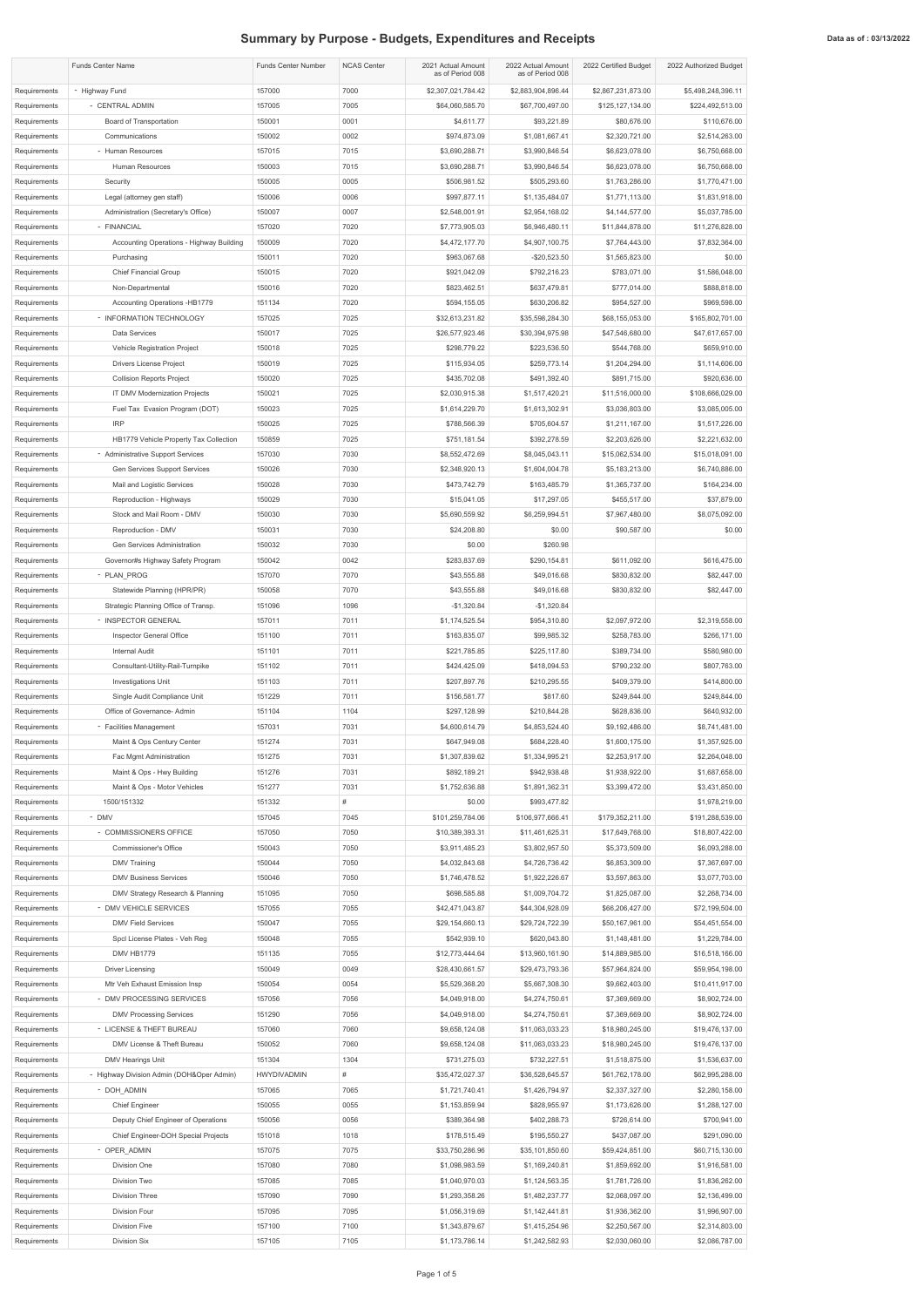## **Summary by Purpose - Budgets, Expenditures and Receipts Data as of : 03/13/2022 Data as of : 03/13/2022**

|                              | <b>Funds Center Name</b>                                           | <b>Funds Center Number</b> | <b>NCAS Center</b> | 2021 Actual Amount<br>as of Period 008 | 2022 Actual Amount<br>as of Period 008 | 2022 Certified Budget             | 2022 Authorized Budget            |
|------------------------------|--------------------------------------------------------------------|----------------------------|--------------------|----------------------------------------|----------------------------------------|-----------------------------------|-----------------------------------|
| Requirements                 | - Highway Fund                                                     | 157000                     | 7000               | \$2,307,021,784.42                     | \$2,883,904,896.44                     | \$2,867,231,873.00                | \$5,498,248,396.11                |
| Requirements                 | - CENTRAL ADMIN                                                    | 157005                     | 7005               | \$64,060,585.70                        | \$67,700,497.00                        | \$125,127,134.00                  | \$224,492,513.00                  |
| Requirements                 | Board of Transportation                                            | 150001                     | 0001               | \$4,611.77                             | \$93,221.89                            | \$80,676.00                       | \$110,676.00                      |
| Requirements                 | Communications                                                     | 150002                     | 0002               | \$974,873.09                           | \$1,081,667.41                         | \$2,320,721.00                    | \$2,514,263.00                    |
| Requirements<br>Requirements | - Human Resources<br>Human Resources                               | 157015<br>150003           | 7015<br>7015       | \$3,690,288.71<br>\$3,690,288.71       | \$3,990,846.54<br>\$3,990,846.54       | \$6,623,078.00<br>\$6,623,078.00  | \$6,750,668.00<br>\$6,750,668.00  |
| Requirements                 | Security                                                           | 150005                     | 0005               | \$506,981.52                           | \$505,293.60                           | \$1,763,286.00                    | \$1,770,471.00                    |
| Requirements                 | Legal (attorney gen staff)                                         | 150006                     | 0006               | \$997,877.11                           | \$1,135,484.07                         | \$1,771,113.00                    | \$1,831,918.00                    |
| Requirements                 | Administration (Secretary's Office)                                | 150007                     | 0007               | \$2,548,001.91                         | \$2,954,168.02                         | \$4,144,577.00                    | \$5,037,785.00                    |
| Requirements                 | - FINANCIAL                                                        | 157020                     | 7020               | \$7,773,905.03                         | \$6,946,480.11                         | \$11,844,878.00                   | \$11,276,828.00                   |
| Requirements                 | Accounting Operations - Highway Building                           | 150009                     | 7020               | \$4,472,177.70                         | \$4,907,100.75                         | \$7,764,443.00                    | \$7,832,364.00                    |
| Requirements                 | Purchasing                                                         | 150011                     | 7020               | \$963,067.68                           | $-$20,523.50$                          | \$1,565,823.00                    | \$0.00                            |
| Requirements                 | <b>Chief Financial Group</b>                                       | 150015                     | 7020               | \$921,042.09                           | \$792,216.23                           | \$783,071.00                      | \$1,586,048.00                    |
| Requirements                 | Non-Departmental                                                   | 150016                     | 7020               | \$823,462.51                           | \$637,479.81                           | \$777,014.00                      | \$888,818.00                      |
| Requirements<br>Requirements | Accounting Operations -HB1779<br>- INFORMATION TECHNOLOGY          | 151134<br>157025           | 7020<br>7025       | \$594,155.05<br>\$32,613,231.82        | \$630,206.82<br>\$35,598,284.30        | \$954,527.00<br>\$68,155,053.00   | \$969,598.00<br>\$165,802,701.00  |
| Requirements                 | Data Services                                                      | 150017                     | 7025               | \$26,577,923.46                        | \$30,394,975.98                        | \$47,546,680.00                   | \$47,617,657.00                   |
| Requirements                 | <b>Vehicle Registration Project</b>                                | 150018                     | 7025               | \$298,779.22                           | \$223,536.50                           | \$544,768.00                      | \$659,910.00                      |
| Requirements                 | Drivers License Project                                            | 150019                     | 7025               | \$115,934.05                           | \$259,773.14                           | \$1,204,294.00                    | \$1,114,606.00                    |
| Requirements                 | <b>Collision Reports Project</b>                                   | 150020                     | 7025               | \$435,702.08                           | \$491,392.40                           | \$891,715.00                      | \$920,636.00                      |
| Requirements                 | IT DMV Modernization Projects                                      | 150021                     | 7025               | \$2,030,915.38                         | \$1,517,420.21                         | \$11,516,000.00                   | \$108,666,029.00                  |
| Requirements                 | Fuel Tax Evasion Program (DOT)                                     | 150023                     | 7025               | \$1,614,229.70                         | \$1,613,302.91                         | \$3,036,803.00                    | \$3,085,005.00                    |
| Requirements                 | <b>IRP</b>                                                         | 150025                     | 7025               | \$788,566.39                           | \$705,604.57                           | \$1,211,167.00                    | \$1,517,226.00                    |
| Requirements                 | HB1779 Vehicle Property Tax Collection                             | 150859                     | 7025               | \$751,181.54                           | \$392,278.59                           | \$2,203,626.00                    | \$2,221,632.00                    |
| Requirements<br>Requirements | - Administrative Support Services<br>Gen Services Support Services | 157030<br>150026           | 7030<br>7030       | \$8,552,472.69<br>\$2,348,920.13       | \$8,045,043.11<br>\$1,604,004.78       | \$15,062,534.00<br>\$5,183,213.00 | \$15,018,091.00<br>\$6,740,886.00 |
| Requirements                 | Mail and Logistic Services                                         | 150028                     | 7030               | \$473,742.79                           | \$163,485.79                           | \$1,365,737.00                    | \$164,234.00                      |
| Requirements                 | Reproduction - Highways                                            | 150029                     | 7030               | \$15,041.05                            | \$17,297.05                            | \$455,517.00                      | \$37,879.00                       |
| Requirements                 | Stock and Mail Room - DMV                                          | 150030                     | 7030               | \$5,690,559.92                         | \$6,259,994.51                         | \$7,967,480.00                    | \$8,075,092.00                    |
| Requirements                 | Reproduction - DMV                                                 | 150031                     | 7030               | \$24,208.80                            | \$0.00                                 | \$90,587.00                       | \$0.00                            |
| Requirements                 | Gen Services Administration                                        | 150032                     | 7030               | \$0.00                                 | \$260.98                               |                                   |                                   |
| Requirements                 | Governor#s Highway Safety Program                                  | 150042                     | 0042               | \$283,837.69                           | \$290,154.81                           | \$611,092.00                      | \$616,475.00                      |
| Requirements                 | - PLAN PROG                                                        | 157070                     | 7070               | \$43,555.88                            | \$49,016.68                            | \$830,832.00                      | \$82,447.00                       |
| Requirements                 | Statewide Planning (HPR/PR)                                        | 150058<br>151096           | 7070<br>1096       | \$43,555.88<br>$-$1,320.84$            | \$49,016.68                            | \$830,832.00                      | \$82,447.00                       |
| Requirements<br>Requirements | Strategic Planning Office of Transp.<br>- INSPECTOR GENERAL        | 157011                     | 7011               | \$1,174,525.54                         | $-$1,320.84$<br>\$954,310.80           | \$2,097,972.00                    | \$2,319,558.00                    |
| Requirements                 | Inspector General Office                                           | 151100                     | 7011               | \$163,835.07                           | \$99,985.32                            | \$258,783.00                      | \$266,171.00                      |
| Requirements                 | <b>Internal Audit</b>                                              | 151101                     | 7011               | \$221,785.85                           | \$225,117.80                           | \$389,734.00                      | \$580,980.00                      |
| Requirements                 | Consultant-Utility-Rail-Turnpike                                   | 151102                     | 7011               | \$424,425.09                           | \$418,094.53                           | \$790,232.00                      | \$807,763.00                      |
| Requirements                 | Investigations Unit                                                | 151103                     | 7011               | \$207,897.76                           | \$210,295.55                           | \$409,379.00                      | \$414,800.00                      |
| Requirements                 | Single Audit Compliance Unit                                       | 151229                     | 7011               | \$156,581.77                           | \$817.60                               | \$249,844.00                      | \$249,844.00                      |
| Requirements                 | Office of Governance- Admin                                        | 151104                     | 1104               | \$297,128.99                           | \$210,844.28                           | \$628,836.00                      | \$640,932.00                      |
| Requirements                 | - Facilities Management<br>Maint & Ops Century Center              | 157031<br>151274           | 7031<br>7031       | \$4,600,614.79<br>\$647,949.08         | \$4,853,524.40<br>\$684,228.40         | \$9,192,486.00<br>\$1,600,175.00  | \$8,741,481.00<br>\$1,357,925.00  |
| Requirements<br>Requirements | Fac Mgmt Administration                                            | 151275                     | 7031               | \$1,307,839.62                         | \$1,334,995.21                         | \$2,253,917.00                    | \$2,264,048.00                    |
| Requirements                 | Maint & Ops - Hwy Building                                         | 151276                     | 7031               | \$892,189.21                           | \$942,938.48                           | \$1,938,922.00                    | \$1,687,658.00                    |
| Requirements                 | Maint & Ops - Motor Vehicles                                       | 151277                     | 7031               | \$1,752,636.88                         | \$1,891,362.31                         | \$3,399,472.00                    | \$3,431,850.00                    |
| Requirements                 | 1500/151332                                                        | 151332                     | #                  | \$0.00                                 | \$993,477.82                           |                                   | \$1,978,219.00                    |
| Requirements                 | - DMV                                                              | 157045                     | 7045               | \$101,259,784.06                       | \$106,977,666.41                       | \$179,352,211.00                  | \$191,288,539.00                  |
| Requirements                 | - COMMISSIONERS OFFICE                                             | 157050                     | 7050               | \$10,389,393.31                        | \$11,461,625.31                        | \$17,649,768.00                   | \$18,807,422.00                   |
| Requirements                 | Commissioner's Office                                              | 150043                     | 7050               | \$3,911,485.23                         | \$3,802,957.50                         | \$5,373,509.00                    | \$6,093,288.00                    |
| Requirements<br>Requirements | <b>DMV Training</b><br><b>DMV Business Services</b>                | 150044<br>150046           | 7050<br>7050       | \$4,032,843.68<br>\$1,746,478.52       | \$4,726,736.42<br>\$1,922,226.67       | \$6,853,309.00<br>\$3,597,863.00  | \$7,367,697.00<br>\$3,077,703.00  |
| Requirements                 | DMV Strategy Research & Planning                                   | 151095                     | 7050               | \$698,585.88                           | \$1,009,704.72                         | \$1,825,087.00                    | \$2,268,734.00                    |
| Requirements                 | - DMV VEHICLE SERVICES                                             | 157055                     | 7055               | \$42,471,043.87                        | \$44,304,928.09                        | \$66,206,427.00                   | \$72,199,504.00                   |
| Requirements                 | <b>DMV Field Services</b>                                          | 150047                     | 7055               | \$29,154,660.13                        | \$29,724,722.39                        | \$50,167,961.00                   | \$54,451,554.00                   |
| Requirements                 | Spcl License Plates - Veh Reg                                      | 150048                     | 7055               | \$542,939.10                           | \$620,043.80                           | \$1,148,481.00                    | \$1,229,784.00                    |
| Requirements                 | DMV HB1779                                                         | 151135                     | 7055               | \$12,773,444.64                        | \$13,960,161.90                        | \$14,889,985.00                   | \$16,518,166.00                   |
| Requirements                 | <b>Driver Licensing</b>                                            | 150049                     | 0049               | \$28,430,661.57                        | \$29,473,793.36                        | \$57,964,824.00                   | \$59,954,198.00                   |
| Requirements                 | Mtr Veh Exhaust Emission Insp                                      | 150054                     | 0054               | \$5,529,368.20                         | \$5,667,308.30                         | \$9,662,403.00                    | \$10,411,917.00                   |
| Requirements<br>Requirements | - DMV PROCESSING SERVICES<br><b>DMV Processing Services</b>        | 157056<br>151290           | 7056<br>7056       | \$4,049,918.00<br>\$4,049,918.00       | \$4,274,750.61<br>\$4,274,750.61       | \$7,369,669.00<br>\$7,369,669.00  | \$8,902,724.00<br>\$8,902,724.00  |
| Requirements                 | - LICENSE & THEFT BUREAU                                           | 157060                     | 7060               | \$9,658,124.08                         | \$11,063,033.23                        | \$18,980,245.00                   | \$19,476,137.00                   |
| Requirements                 | DMV License & Theft Bureau                                         | 150052                     | 7060               | \$9,658,124.08                         | \$11,063,033.23                        | \$18,980,245.00                   | \$19,476,137.00                   |
| Requirements                 | DMV Hearings Unit                                                  | 151304                     | 1304               | \$731,275.03                           | \$732,227.51                           | \$1,518,875.00                    | \$1,536,637.00                    |
| Requirements                 | - Highway Division Admin (DOH&Oper Admin)                          | HWYDIVADMIN                | #                  | \$35,472,027.37                        | \$36,528,645.57                        | \$61,762,178.00                   | \$62,995,288.00                   |
| Requirements                 | - DOH_ADMIN                                                        | 157065                     | 7065               | \$1,721,740.41                         | \$1,426,794.97                         | \$2,337,327.00                    | \$2,280,158.00                    |
| Requirements                 | <b>Chief Engineer</b>                                              | 150055                     | 0055               | \$1,153,859.94                         | \$828,955.97                           | \$1,173,626.00                    | \$1,288,127.00                    |
| Requirements                 | Deputy Chief Engineer of Operations                                | 150056                     | 0056               | \$389,364.98                           | \$402,288.73                           | \$726,614.00                      | \$700,941.00                      |
| Requirements<br>Requirements | Chief Engineer-DOH Special Projects<br>- OPER_ADMIN                | 151018<br>157075           | 1018<br>7075       | \$178,515.49<br>\$33,750,286.96        | \$195,550.27<br>\$35,101,850.60        | \$437,087.00<br>\$59,424,851.00   | \$291,090.00<br>\$60,715,130.00   |
| Requirements                 | Division One                                                       | 157080                     | 7080               | \$1,098,983.59                         | \$1,169,240.81                         | \$1,859,692.00                    | \$1,916,581.00                    |
| Requirements                 | Division Two                                                       | 157085                     | 7085               | \$1,040,970.03                         | \$1,124,563.35                         | \$1,781,726.00                    | \$1,836,262.00                    |
| Requirements                 | Division Three                                                     | 157090                     | 7090               | \$1,293,358.26                         | \$1,482,237.77                         | \$2,068,097.00                    | \$2,136,499.00                    |
| Requirements                 | Division Four                                                      | 157095                     | 7095               | \$1,056,319.69                         | \$1,142,441.81                         | \$1,936,362.00                    | \$1,996,907.00                    |
| Requirements                 | <b>Division Five</b>                                               | 157100                     | 7100               | \$1,343,879.67                         | \$1,415,254.96                         | \$2,250,567.00                    | \$2,314,803.00                    |
| Requirements                 | Division Six                                                       | 157105                     | 7105               | \$1,173,786.14                         | \$1,242,582.93                         | \$2,030,060.00                    | \$2,086,787.00                    |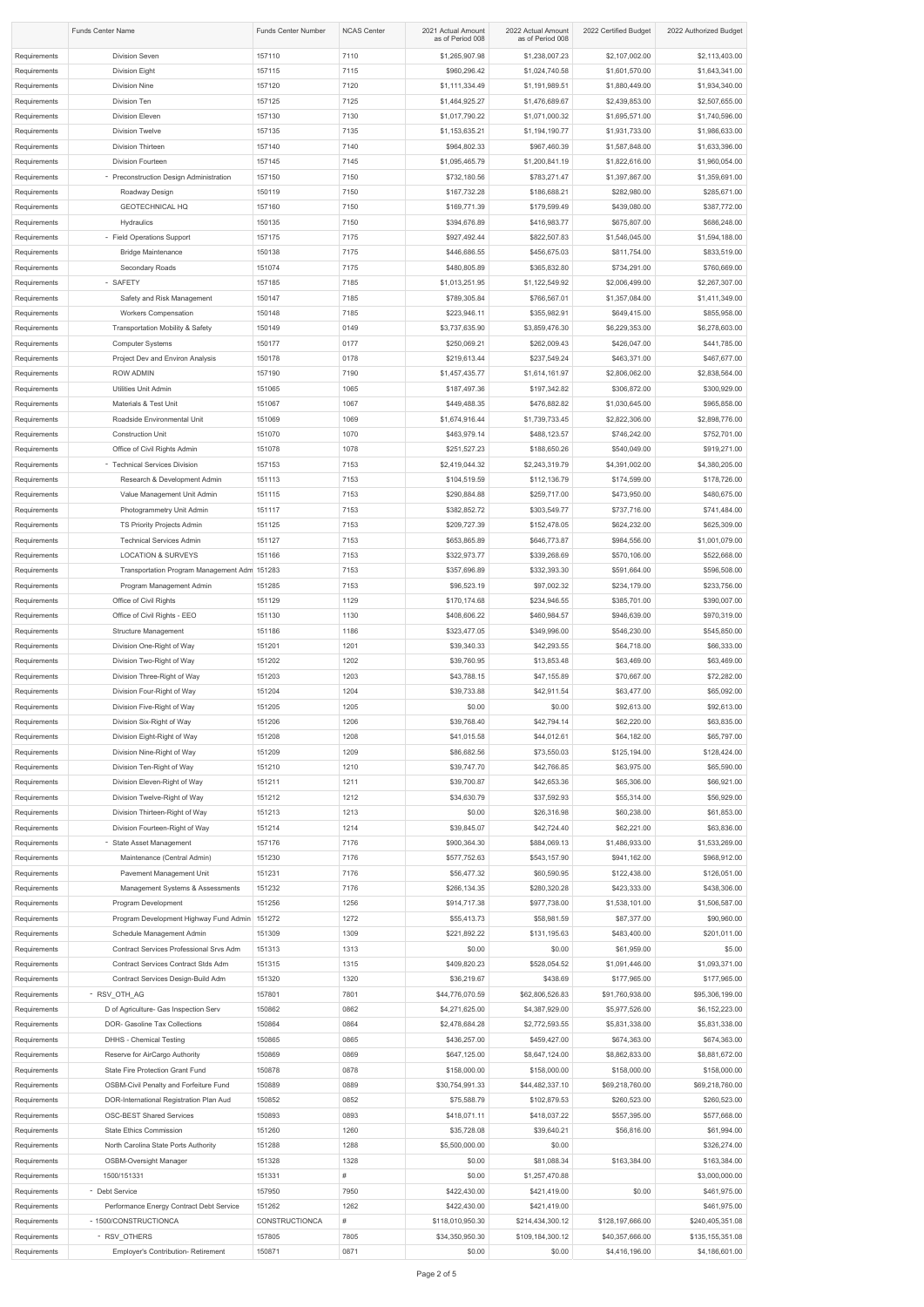| <b>Funds Center Name</b>     |                                                                               | <b>Funds Center Number</b> | <b>NCAS Center</b> | 2021 Actual Amount<br>as of Period 008 | 2022 Actual Amount<br>as of Period 008 | 2022 Certified Budget               | 2022 Authorized Budget           |
|------------------------------|-------------------------------------------------------------------------------|----------------------------|--------------------|----------------------------------------|----------------------------------------|-------------------------------------|----------------------------------|
| Requirements                 | <b>Division Seven</b>                                                         | 157110                     | 7110               | \$1,265,907.98                         | \$1,238,007.23                         | \$2,107,002.00                      | \$2,113,403.00                   |
| Requirements                 | <b>Division Eight</b>                                                         | 157115                     | 7115               | \$960,296.42                           | \$1,024,740.58                         | \$1,601,570.00                      | \$1,643,341.00                   |
| Requirements                 | Division Nine                                                                 | 157120                     | 7120               | \$1,111,334.49                         | \$1,191,989.51                         | \$1,880,449.00                      | \$1,934,340.00                   |
| Requirements                 | Division Ten                                                                  | 157125                     | 7125               | \$1,464,925.27                         | \$1,476,689.67                         | \$2,439,853.00                      | \$2,507,655.00                   |
| Requirements                 | Division Eleven                                                               | 157130                     | 7130               | \$1,017,790.22                         | \$1,071,000.32                         | \$1,695,571.00                      | \$1,740,596.00                   |
| Requirements                 | <b>Division Twelve</b>                                                        | 157135                     | 7135               | \$1,153,635.21                         | \$1,194,190.77                         | \$1,931,733.00                      | \$1,986,633.00                   |
| Requirements                 | Division Thirteen                                                             | 157140                     | 7140               | \$964,802.33                           | \$967,460.39                           | \$1,587,848.00                      | \$1,633,396.00                   |
| Requirements<br>Requirements | Division Fourteen<br>- Preconstruction Design Administration                  | 157145<br>157150           | 7145<br>7150       | \$1,095,465.79<br>\$732,180.56         | \$1,200,841.19<br>\$783,271.47         | \$1,822,616.00<br>\$1,397,867.00    | \$1,960,054.00<br>\$1,359,691.00 |
| Requirements                 | Roadway Design                                                                | 150119                     | 7150               | \$167,732.28                           | \$186,688.21                           | \$282,980.00                        | \$285,671.00                     |
| Requirements                 | <b>GEOTECHNICAL HQ</b>                                                        | 157160                     | 7150               | \$169,771.39                           | \$179,599.49                           | \$439,080.00                        | \$387,772.00                     |
| Requirements                 | Hydraulics                                                                    | 150135                     | 7150               | \$394,676.89                           | \$416,983.77                           | \$675,807.00                        | \$686,248.00                     |
| Requirements                 | - Field Operations Support                                                    | 157175                     | 7175               | \$927,492.44                           | \$822,507.83                           | \$1,546,045.00                      | \$1,594,188.00                   |
| Requirements                 | <b>Bridge Maintenance</b>                                                     | 150138                     | 7175               | \$446,686.55                           | \$456,675.03                           | \$811,754.00                        | \$833,519.00                     |
| Requirements                 | Secondary Roads                                                               | 151074                     | 7175               | \$480,805.89                           | \$365,832.80                           | \$734,291.00                        | \$760,669.00                     |
| Requirements                 | - SAFETY                                                                      | 157185                     | 7185               | \$1,013,251.95                         | \$1,122,549.92                         | \$2,006,499.00                      | \$2,267,307.00                   |
| Requirements                 | Safety and Risk Management                                                    | 150147                     | 7185               | \$789,305.84                           | \$766,567.01                           | \$1,357,084.00                      | \$1,411,349.00                   |
| Requirements                 | <b>Workers Compensation</b>                                                   | 150148                     | 7185               | \$223,946.11                           | \$355,982.91                           | \$649,415.00                        | \$855,958.00                     |
| Requirements                 | <b>Transportation Mobility &amp; Safety</b>                                   | 150149                     | 0149               | \$3,737,635.90                         | \$3,859,476.30                         | \$6,229,353.00                      | \$6,278,603.00                   |
| Requirements                 | <b>Computer Systems</b>                                                       | 150177                     | 0177               | \$250,069.21                           | \$262,009.43                           | \$426,047.00                        | \$441,785.00                     |
| Requirements<br>Requirements | Project Dev and Environ Analysis<br><b>ROW ADMIN</b>                          | 150178<br>157190           | 0178<br>7190       | \$219,613.44<br>\$1,457,435.77         | \$237,549.24<br>\$1,614,161.97         | \$463,371.00<br>\$2,806,062.00      | \$467,677.00<br>\$2,838,564.00   |
| Requirements                 | Utilities Unit Admin                                                          | 151065                     | 1065               | \$187,497.36                           | \$197,342.82                           | \$306,872.00                        | \$300,929.00                     |
| Requirements                 | Materials & Test Unit                                                         | 151067                     | 1067               | \$449,488.35                           | \$476,882.82                           | \$1,030,645.00                      | \$965,858.00                     |
| Requirements                 | Roadside Environmental Unit                                                   | 151069                     | 1069               | \$1,674,916.44                         | \$1,739,733.45                         | \$2,822,306.00                      | \$2,898,776.00                   |
| Requirements                 | <b>Construction Unit</b>                                                      | 151070                     | 1070               | \$463,979.14                           | \$488,123.57                           | \$746,242.00                        | \$752,701.00                     |
| Requirements                 | Office of Civil Rights Admin                                                  | 151078                     | 1078               | \$251,527.23                           | \$188,650.26                           | \$540,049.00                        | \$919,271.00                     |
| Requirements                 | - Technical Services Division                                                 | 157153                     | 7153               | \$2,419,044.32                         | \$2,243,319.79                         | \$4,391,002.00                      | \$4,380,205.00                   |
| Requirements                 | Research & Development Admin                                                  | 151113                     | 7153               | \$104,519.59                           | \$112,136.79                           | \$174,599.00                        | \$178,726.00                     |
| Requirements                 | Value Management Unit Admin                                                   | 151115                     | 7153               | \$290,884.88                           | \$259,717.00                           | \$473,950.00                        | \$480,675.00                     |
| Requirements                 | Photogrammetry Unit Admin                                                     | 151117                     | 7153               | \$382,852.72                           | \$303,549.77                           | \$737,716.00                        | \$741,484.00                     |
| Requirements                 | TS Priority Projects Admin                                                    | 151125                     | 7153               | \$209,727.39                           | \$152,478.05                           | \$624,232.00                        | \$625,309.00                     |
| Requirements                 | <b>Technical Services Admin</b>                                               | 151127                     | 7153               | \$653,865.89                           | \$646,773.87                           | \$984,556.00                        | \$1,001,079.00                   |
| Requirements<br>Requirements | <b>LOCATION &amp; SURVEYS</b><br>Transportation Program Management Adm 151283 | 151166                     | 7153<br>7153       | \$322,973.77<br>\$357,696.89           | \$339,268.69<br>\$332,393.30           | \$570,106.00<br>\$591,664.00        | \$522,668.00<br>\$596,508.00     |
| Requirements                 | Program Management Admin                                                      | 151285                     | 7153               | \$96,523.19                            | \$97,002.32                            | \$234,179.00                        | \$233,756.00                     |
| Requirements                 | Office of Civil Rights                                                        | 151129                     | 1129               | \$170,174.68                           | \$234,946.55                           | \$385,701.00                        | \$390,007.00                     |
| Requirements                 | Office of Civil Rights - EEO                                                  | 151130                     | 1130               | \$408,606.22                           | \$460,984.57                           | \$946,639.00                        | \$970,319.00                     |
| Requirements                 | <b>Structure Management</b>                                                   | 151186                     | 1186               | \$323,477.05                           | \$349,996.00                           | \$546,230.00                        | \$545,850.00                     |
| Requirements                 | Division One-Right of Way                                                     | 151201                     | 1201               | \$39,340.33                            | \$42,293.55                            | \$64,718.00                         | \$66,333.00                      |
| Requirements                 | Division Two-Right of Way                                                     | 151202                     | 1202               | \$39,760.95                            | \$13,853.48                            | \$63,469.00                         | \$63,469.00                      |
| Requirements                 | Division Three-Right of Way                                                   | 151203                     | 1203               | \$43,788.15                            | \$47,155.89                            | \$70,667.00                         | \$72,282.00                      |
| Requirements                 | Division Four-Right of Way                                                    | 151204                     | 1204               | \$39,733.88                            | \$42,911.54                            | \$63,477.00                         | \$65,092.00                      |
| Requirements                 | Division Five-Right of Way                                                    | 151205                     | 1205               | \$0.00                                 | \$0.00                                 | \$92,613.00                         | \$92,613.00                      |
| Requirements                 | Division Six-Right of Way                                                     | 151206                     | 1206               | \$39,768.40                            | \$42,794.14                            | \$62,220.00                         | \$63,835.00                      |
| Requirements<br>Requirements | Division Eight-Right of Way<br>Division Nine-Right of Way                     | 151208<br>151209           | 1208<br>1209       | \$41,015.58<br>\$86,682.56             | \$44,012.61<br>\$73,550.03             | \$64,182.00<br>\$125,194.00         | \$65,797.00<br>\$128,424.00      |
| Requirements                 | Division Ten-Right of Way                                                     | 151210                     | 1210               | \$39,747.70                            | \$42,766.85                            | \$63,975.00                         | \$65,590.00                      |
| Requirements                 | Division Eleven-Right of Way                                                  | 151211                     | 1211               | \$39,700.87                            | \$42,653.36                            | \$65,306.00                         | \$66,921.00                      |
| Requirements                 | Division Twelve-Right of Way                                                  | 151212                     | 1212               | \$34,630.79                            | \$37,592.93                            | \$55,314.00                         | \$56,929.00                      |
| Requirements                 | Division Thirteen-Right of Way                                                | 151213                     | 1213               | \$0.00                                 | \$26,316.98                            | \$60,238.00                         | \$61,853.00                      |
| Requirements                 | Division Fourteen-Right of Way                                                | 151214                     | 1214               | \$39,845.07                            | \$42,724.40                            | \$62,221.00                         | \$63,836.00                      |
| Requirements                 | - State Asset Management                                                      | 157176                     | 7176               | \$900,364.30                           | \$884,069.13                           | \$1,486,933.00                      | \$1,533,269.00                   |
| Requirements                 | Maintenance (Central Admin)                                                   | 151230                     | 7176               | \$577,752.63                           | \$543,157.90                           | \$941,162.00                        | \$968,912.00                     |
| Requirements                 | Pavement Management Unit                                                      | 151231                     | 7176               | \$56,477.32                            | \$60,590.95                            | \$122,438.00                        | \$126,051.00                     |
| Requirements                 | Management Systems & Assessments                                              | 151232                     | 7176               | \$266,134.35                           | \$280,320.28                           | \$423,333.00                        | \$438,306.00                     |
| Requirements<br>Requirements | Program Development<br>Program Development Highway Fund Admin 151272          | 151256                     | 1256<br>1272       | \$914,717.38<br>\$55,413.73            | \$977,738.00<br>\$58,981.59            | \$1,538,101.00<br>\$87,377.00       | \$1,506,587.00<br>\$90,960.00    |
| Requirements                 | Schedule Management Admin                                                     | 151309                     | 1309               | \$221,892.22                           | \$131,195.63                           | \$483,400.00                        | \$201,011.00                     |
| Requirements                 | Contract Services Professional Srvs Adm                                       | 151313                     | 1313               | \$0.00                                 | \$0.00                                 | \$61,959.00                         | \$5.00                           |
| Requirements                 | Contract Services Contract Stds Adm                                           | 151315                     | 1315               | \$409,820.23                           | \$528,054.52                           | \$1,091,446.00                      | \$1,093,371.00                   |
| Requirements                 | Contract Services Design-Build Adm                                            | 151320                     | 1320               | \$36,219.67                            | \$438.69                               | \$177,965.00                        | \$177,965.00                     |
| Requirements                 | - RSV_OTH_AG                                                                  | 157801                     | 7801               | \$44,776,070.59                        | \$62,806,526.83                        | \$91,760,938.00                     | \$95,306,199.00                  |
| Requirements                 | D of Agriculture- Gas Inspection Serv                                         | 150862                     | 0862               | \$4,271,625.00                         | \$4,387,929.00                         | \$5,977,526.00                      | \$6,152,223.00                   |
| Requirements                 | DOR- Gasoline Tax Collections                                                 | 150864                     | 0864               | \$2,478,684.28                         | \$2,772,593.55                         | \$5,831,338.00                      | \$5,831,338.00                   |
| Requirements                 | <b>DHHS - Chemical Testing</b>                                                | 150865                     | 0865               | \$436,257.00                           | \$459,427.00                           | \$674,363.00                        | \$674,363.00                     |
| Requirements                 | Reserve for AirCargo Authority                                                | 150869<br>150878           | 0869<br>0878       | \$647,125.00<br>\$158,000.00           | \$8,647,124.00                         | \$8,862,833.00<br>\$158,000.00      | \$8,881,672.00<br>\$158,000.00   |
| Requirements<br>Requirements | State Fire Protection Grant Fund<br>OSBM-Civil Penalty and Forfeiture Fund    | 150889                     | 0889               | \$30,754,991.33                        | \$158,000.00<br>\$44,482,337.10        | \$69,218,760.00                     | \$69,218,760.00                  |
| Requirements                 | DOR-International Registration Plan Aud                                       | 150852                     | 0852               | \$75,588.79                            | \$102,879.53                           | \$260,523.00                        | \$260,523.00                     |
| Requirements                 | <b>OSC-BEST Shared Services</b>                                               | 150893                     | 0893               | \$418,071.11                           | \$418,037.22                           | \$557,395.00                        | \$577,668.00                     |
| Requirements                 | <b>State Ethics Commission</b>                                                | 151260                     | 1260               | \$35,728.08                            | \$39,640.21                            | \$56,816.00                         | \$61,994.00                      |
| Requirements                 | North Carolina State Ports Authority                                          | 151288                     | 1288               | \$5,500,000.00                         | \$0.00                                 |                                     | \$326,274.00                     |
| Requirements                 | <b>OSBM-Oversight Manager</b>                                                 | 151328                     | 1328               | \$0.00                                 | \$81,088.34                            | \$163,384.00                        | \$163,384.00                     |
| Requirements                 | 1500/151331                                                                   | 151331                     | #                  | \$0.00                                 | \$1,257,470.88                         |                                     | \$3,000,000.00                   |
| Requirements                 | - Debt Service                                                                | 157950                     | 7950               | \$422,430.00                           | \$421,419.00                           | \$0.00                              | \$461,975.00                     |
| Requirements<br>Requirements | Performance Energy Contract Debt Service<br>- 1500/CONSTRUCTIONCA             | 151262<br>CONSTRUCTIONCA   | 1262<br>#          | \$422,430.00                           | \$421,419.00                           |                                     | \$461,975.00<br>\$240,405,351.08 |
| Requirements                 | - RSV OTHERS                                                                  | 157805                     | 7805               | \$118,010,950.30<br>\$34,350,950.30    | \$214,434,300.12<br>\$109,184,300.12   | \$128,197,666.00<br>\$40,357,666.00 | \$135,155,351.08                 |
| Requirements                 | <b>Employer's Contribution- Retirement</b>                                    | 150871                     | 0871               | \$0.00                                 | \$0.00                                 | \$4,416,196.00                      | \$4,186,601.00                   |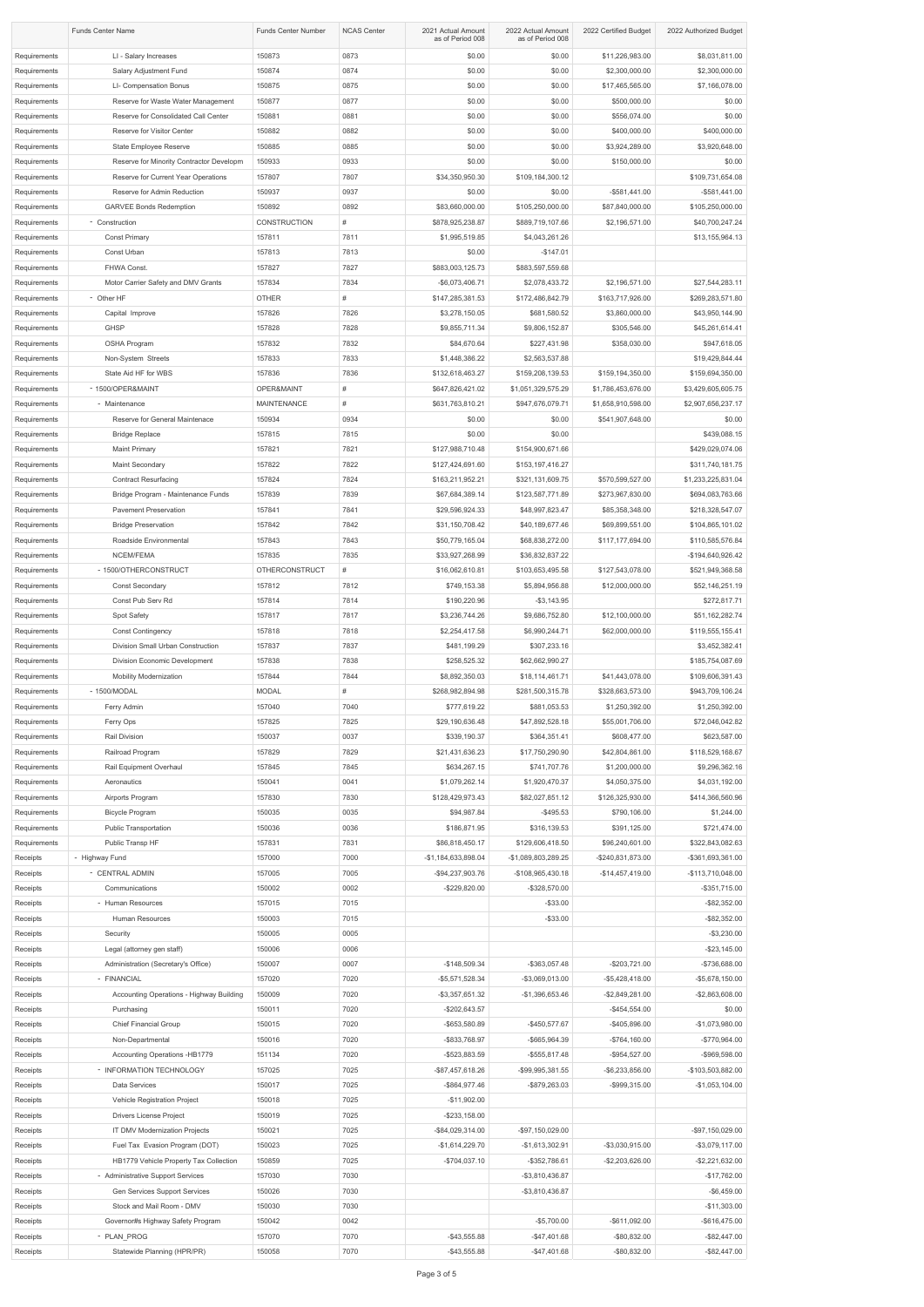|                              | <b>Funds Center Name</b>                                          | <b>Funds Center Number</b> | <b>NCAS Center</b> | 2021 Actual Amount<br>as of Period 008 | 2022 Actual Amount<br>as of Period 008 | 2022 Certified Budget                | 2022 Authorized Budget                 |
|------------------------------|-------------------------------------------------------------------|----------------------------|--------------------|----------------------------------------|----------------------------------------|--------------------------------------|----------------------------------------|
| Requirements<br>Requirements | LI - Salary Increases<br>Salary Adjustment Fund                   | 150873<br>150874           | 0873<br>0874       | \$0.00<br>\$0.00                       | \$0.00<br>\$0.00                       | \$11,226,983.00<br>\$2,300,000.00    | \$8,031,811.00<br>\$2,300,000.00       |
| Requirements                 | LI- Compensation Bonus                                            | 150875                     | 0875               | \$0.00                                 | \$0.00                                 | \$17,465,565.00                      | \$7,166,078.00                         |
| Requirements                 | Reserve for Waste Water Management                                | 150877                     | 0877               | \$0.00                                 | \$0.00                                 | \$500,000.00                         | \$0.00                                 |
| Requirements                 | Reserve for Consolidated Call Center                              | 150881                     | 0881               | \$0.00                                 | \$0.00                                 | \$556,074.00                         | \$0.00                                 |
| Requirements                 | Reserve for Visitor Center                                        | 150882                     | 0882               | \$0.00                                 | \$0.00                                 | \$400,000.00                         | \$400,000.00                           |
| Requirements                 | State Employee Reserve                                            | 150885                     | 0885               | \$0.00                                 | \$0.00                                 | \$3,924,289.00                       | \$3,920,648.00                         |
| Requirements                 | Reserve for Minority Contractor Developm                          | 150933                     | 0933               | \$0.00                                 | \$0.00                                 | \$150,000.00                         | \$0.00                                 |
| Requirements                 | Reserve for Current Year Operations                               | 157807                     | 7807               | \$34,350,950.30                        | \$109,184,300.12                       |                                      | \$109,731,654.08                       |
| Requirements                 | Reserve for Admin Reduction                                       | 150937                     | 0937               | \$0.00                                 | \$0.00                                 | $-$ \$581,441.00                     | $-$ \$581,441.00                       |
| Requirements                 | <b>GARVEE Bonds Redemption</b>                                    | 150892                     | 0892               | \$83,660,000.00                        | \$105,250,000.00                       | \$87,840,000.00                      | \$105,250,000.00                       |
| Requirements                 | - Construction                                                    | <b>CONSTRUCTION</b>        | #                  | \$878,925,238.87                       | \$889,719,107.66                       | \$2,196,571.00                       | \$40,700,247.24                        |
| Requirements                 | <b>Const Primary</b>                                              | 157811                     | 7811               | \$1,995,519.85                         | \$4,043,261.26                         |                                      | \$13,155,964.13                        |
| Requirements                 | Const Urban                                                       | 157813                     | 7813               | \$0.00                                 | $-$147.01$                             |                                      |                                        |
| Requirements                 | FHWA Const.                                                       | 157827                     | 7827               | \$883,003,125.73                       | \$883,597,559.68                       |                                      |                                        |
| Requirements                 | Motor Carrier Safety and DMV Grants                               | 157834                     | 7834               | -\$6,073,406.71                        | \$2,078,433.72                         | \$2,196,571.00                       | \$27,544,283.11                        |
| Requirements                 | - Other HF                                                        | <b>OTHER</b>               | #                  | \$147,285,381.53                       | \$172,486,842.79                       | \$163,717,926.00                     | \$269,283,571.80                       |
| Requirements                 | Capital Improve                                                   | 157826                     | 7826               | \$3,278,150.05                         | \$681,580.52                           | \$3,860,000.00                       | \$43,950,144.90                        |
| Requirements                 | <b>GHSP</b>                                                       | 157828                     | 7828               | \$9,855,711.34                         | \$9,806,152.87                         | \$305,546.00                         | \$45,261,614.41                        |
| Requirements                 | OSHA Program                                                      | 157832                     | 7832               | \$84,670.64                            | \$227,431.98                           | \$358,030.00                         | \$947,618.05                           |
| Requirements                 | Non-System Streets                                                | 157833                     | 7833               | \$1,448,386.22                         | \$2,563,537.88                         |                                      | \$19,429,844.44                        |
| Requirements                 | State Aid HF for WBS                                              | 157836                     | 7836               | \$132,618,463.27                       | \$159,208,139.53                       | \$159,194,350.00                     | \$159,694,350.00                       |
| Requirements                 | - 1500/OPER&MAINT                                                 | OPER&MAINT                 | #                  | \$647,826,421.02                       | \$1,051,329,575.29                     | \$1,786,453,676.00                   | \$3,429,605,605.75                     |
| Requirements                 | - Maintenance                                                     | <b>MAINTENANCE</b>         | #                  | \$631,763,810.21                       | \$947,676,079.71                       | \$1,658,910,598.00                   | \$2,907,656,237.17                     |
| Requirements                 | Reserve for General Maintenace                                    | 150934                     | 0934               | \$0.00                                 | \$0.00                                 | \$541,907,648.00                     | \$0.00                                 |
| Requirements                 | <b>Bridge Replace</b>                                             | 157815                     | 7815               | \$0.00                                 | \$0.00                                 |                                      | \$439,088.15                           |
| Requirements                 | <b>Maint Primary</b>                                              | 157821                     | 7821               | \$127,988,710.48                       | \$154,900,671.66                       |                                      | \$429,029,074.06                       |
| Requirements                 | <b>Maint Secondary</b>                                            | 157822                     | 7822               | \$127,424,691.60                       | \$153,197,416.27                       |                                      | \$311,740,181.75                       |
| Requirements<br>Requirements | <b>Contract Resurfacing</b><br>Bridge Program - Maintenance Funds | 157824<br>157839           | 7824<br>7839       | \$163,211,952.21<br>\$67,684,389.14    | \$321,131,609.75<br>\$123,587,771.89   | \$570,599,527.00<br>\$273,967,830.00 | \$1,233,225,831.04<br>\$694,083,763.66 |
| Requirements                 | <b>Pavement Preservation</b>                                      | 157841                     | 7841               | \$29,596,924.33                        | \$48,997,823.47                        | \$85,358,348.00                      | \$218,328,547.07                       |
| Requirements                 | <b>Bridge Preservation</b>                                        | 157842                     | 7842               | \$31,150,708.42                        | \$40,189,677.46                        | \$69,899,551.00                      | \$104,865,101.02                       |
| Requirements                 | Roadside Environmental                                            | 157843                     | 7843               | \$50,779,165.04                        | \$68,838,272.00                        | \$117,177,694.00                     | \$110,585,576.84                       |
| Requirements                 | NCEM/FEMA                                                         | 157835                     | 7835               | \$33,927,268.99                        | \$36,832,837.22                        |                                      | -\$194,640,926.42                      |
| Requirements                 | - 1500/OTHERCONSTRUCT                                             | <b>OTHERCONSTRUCT</b>      | #                  | \$16,062,610.81                        | \$103,653,495.58                       | \$127,543,078.00                     | \$521,949,368.58                       |
| Requirements                 | <b>Const Secondary</b>                                            | 157812                     | 7812               | \$749,153.38                           | \$5,894,956.88                         | \$12,000,000.00                      | \$52,146,251.19                        |
| Requirements                 | Const Pub Serv Rd                                                 | 157814                     | 7814               | \$190,220.96                           | $- $3,143.95$                          |                                      | \$272,817.71                           |
| Requirements                 | Spot Safety                                                       | 157817                     | 7817               | \$3,236,744.26                         | \$9,686,752.80                         | \$12,100,000.00                      | \$51,162,282.74                        |
| Requirements                 | <b>Const Contingency</b>                                          | 157818                     | 7818               | \$2,254,417.58                         | \$6,990,244.71                         | \$62,000,000.00                      | \$119,555,155.41                       |
| Requirements                 | Division Small Urban Construction                                 | 157837                     | 7837               | \$481,199.29                           | \$307,233.16                           |                                      | \$3,452,382.41                         |
| Requirements                 | Division Economic Development                                     | 157838                     | 7838               | \$258,525.32                           | \$62,662,990.27                        |                                      | \$185,754,087.69                       |
| Requirements                 | <b>Mobility Modernization</b>                                     | 157844                     | 7844               | \$8,892,350.03                         | \$18,114,461.71                        | \$41,443,078.00                      | \$109,606,391.43                       |
| Requirements                 | - 1500/MODAL                                                      | <b>MODAL</b>               | #                  | \$268,982,894.98                       | \$281,500,315.78                       | \$328,663,573.00                     | \$943,709,106.24                       |
| Requirements<br>Requirements | Ferry Admin<br>Ferry Ops                                          | 157040<br>157825           | 7040<br>7825       | \$777,619.22<br>\$29,190,636.48        | \$881,053.53<br>\$47,892,528.18        | \$1,250,392.00<br>\$55,001,706.00    | \$1,250,392.00<br>\$72,046,042.82      |
| Requirements                 | Rail Division                                                     | 150037                     | 0037               | \$339,190.37                           | \$364,351.41                           | \$608,477.00                         | \$623,587.00                           |
| Requirements                 | Railroad Program                                                  | 157829                     | 7829               | \$21,431,636.23                        | \$17,750,290.90                        | \$42,804,861.00                      | \$118,529,168.67                       |
| Requirements                 | Rail Equipment Overhaul                                           | 157845                     | 7845               | \$634,267.15                           | \$741,707.76                           | \$1,200,000.00                       | \$9,296,362.16                         |
| Requirements                 | Aeronautics                                                       | 150041                     | 0041               | \$1,079,262.14                         | \$1,920,470.37                         | \$4,050,375.00                       | \$4,031,192.00                         |
| Requirements                 | Airports Program                                                  | 157830                     | 7830               | \$128,429,973.43                       | \$82,027,851.12                        | \$126,325,930.00                     | \$414,366,560.96                       |
| Requirements                 | <b>Bicycle Program</b>                                            | 150035                     | 0035               | \$94,987.84                            | $-$ \$495.53                           | \$790,106.00                         | \$1,244.00                             |
| Requirements                 | Public Transportation                                             | 150036                     | 0036               | \$186,871.95                           | \$316,139.53                           | \$391,125.00                         | \$721,474.00                           |
| Requirements                 | Public Transp HF                                                  | 157831                     | 7831               | \$86,818,450.17                        | \$129,606,418.50                       | \$96,240,601.00                      | \$322,843,082.63                       |
| Receipts                     | - Highway Fund                                                    | 157000                     | 7000               | -\$1,184,633,898.04                    | -\$1,089,803,289.25                    | -\$240,831,873.00                    | -\$361,693,361.00                      |
| Receipts                     | - CENTRAL ADMIN                                                   | 157005                     | 7005               | -\$94,237,903.76                       | -\$108,965,430.18                      | $-$14,457,419.00$                    | -\$113,710,048.00                      |
| Receipts                     | Communications                                                    | 150002                     | 0002               | $-$229,820.00$                         | -\$328,570.00                          |                                      | $-$ \$351,715.00                       |
| Receipts                     | - Human Resources                                                 | 157015                     | 7015               |                                        | $-$ \$33.00                            |                                      | $-$ \$82,352.00                        |
| Receipts                     | Human Resources                                                   | 150003                     | 7015               |                                        | $-$ \$33.00                            |                                      | $-$ \$82,352.00                        |
| Receipts<br>Receipts         | Security<br>Legal (attorney gen staff)                            | 150005<br>150006           | 0005<br>0006       |                                        |                                        |                                      | $-$ \$3,230.00<br>$-$ \$23,145.00      |
| Receipts                     | Administration (Secretary's Office)                               | 150007                     | 0007               | $-$148,509.34$                         | -\$363,057.48                          | $-$203,721.00$                       | -\$736,688.00                          |
| Receipts                     | - FINANCIAL                                                       | 157020                     | 7020               | -\$5,571,528.34                        | -\$3,069,013.00                        | $-$5,428,418.00$                     | $-$ \$5,678,150.00                     |
| Receipts                     | Accounting Operations - Highway Building                          | 150009                     | 7020               | $-$ \$3,357,651.32                     | $-$1,396,653.46$                       | $-$2,849,281.00$                     | $-$2,863,608.00$                       |
| Receipts                     | Purchasing                                                        | 150011                     | 7020               | $-$202,643.57$                         |                                        | $-$ \$454,554.00                     | \$0.00                                 |
| Receipts                     | <b>Chief Financial Group</b>                                      | 150015                     | 7020               | -\$653,580.89                          | $-$450,577.67$                         | -\$405,896.00                        | $-$1,073,980.00$                       |
| Receipts                     | Non-Departmental                                                  | 150016                     | 7020               | -\$833,768.97                          | -\$665,964.39                          | $-$764,160.00$                       | -\$770,964.00                          |
| Receipts                     | Accounting Operations -HB1779                                     | 151134                     | 7020               | -\$523,883.59                          | $-$ \$555,817.48                       | $-$ \$954,527.00                     | -\$969,598.00                          |
| Receipts                     | - INFORMATION TECHNOLOGY                                          | 157025                     | 7025               | -\$87,457,618.26                       | -\$99,995,381.55                       | -\$6,233,856.00                      | -\$103,503,882.00                      |
| Receipts                     | Data Services                                                     | 150017                     | 7025               | -\$864,977.46                          | -\$879,263.03                          | -\$999,315.00                        | $-$1,053,104.00$                       |
| Receipts                     | Vehicle Registration Project                                      | 150018                     | 7025               | $-$11,902.00$                          |                                        |                                      |                                        |
| Receipts                     | <b>Drivers License Project</b>                                    | 150019                     | 7025               | $-$ \$233,158.00                       |                                        |                                      |                                        |
| Receipts                     | IT DMV Modernization Projects<br>Fuel Tax Evasion Program (DOT)   | 150021<br>150023           | 7025<br>7025       | -\$84,029,314.00                       | -\$97,150,029.00                       | -\$3,030,915.00                      | -\$97,150,029.00<br>$-$ \$3,079,117.00 |
| Receipts<br>Receipts         | HB1779 Vehicle Property Tax Collection                            | 150859                     | 7025               | $-$1,614,229.70$<br>$-$704,037.10$     | $-$1,613,302.91$<br>-\$352,786.61      | $-$ \$2,203,626.00                   | $-$ \$2,221,632.00                     |
| Receipts                     | - Administrative Support Services                                 | 157030                     | 7030               |                                        | -\$3,810,436.87                        |                                      | $-$17,762.00$                          |
| Receipts                     | Gen Services Support Services                                     | 150026                     | 7030               |                                        | -\$3,810,436.87                        |                                      | $-$ \$6,459.00                         |
| Receipts                     | Stock and Mail Room - DMV                                         | 150030                     | 7030               |                                        |                                        |                                      | $-$11,303.00$                          |
| Receipts                     | Governor#s Highway Safety Program                                 | 150042                     | 0042               |                                        | $-$5,700.00$                           | $-$ \$611,092.00                     | -\$616,475.00                          |
| Receipts                     | - PLAN PROG                                                       | 157070                     | 7070               | $-$ \$43,555.88                        | $-$ \$47,401.68                        | $-$ \$80,832.00                      | $-$ \$82,447.00                        |
| Receipts                     | Statewide Planning (HPR/PR)                                       | 150058                     | 7070               | $-$ \$43,555.88                        | $-$ \$47,401.68                        | $-$ \$80,832.00                      | $-$ \$82,447.00                        |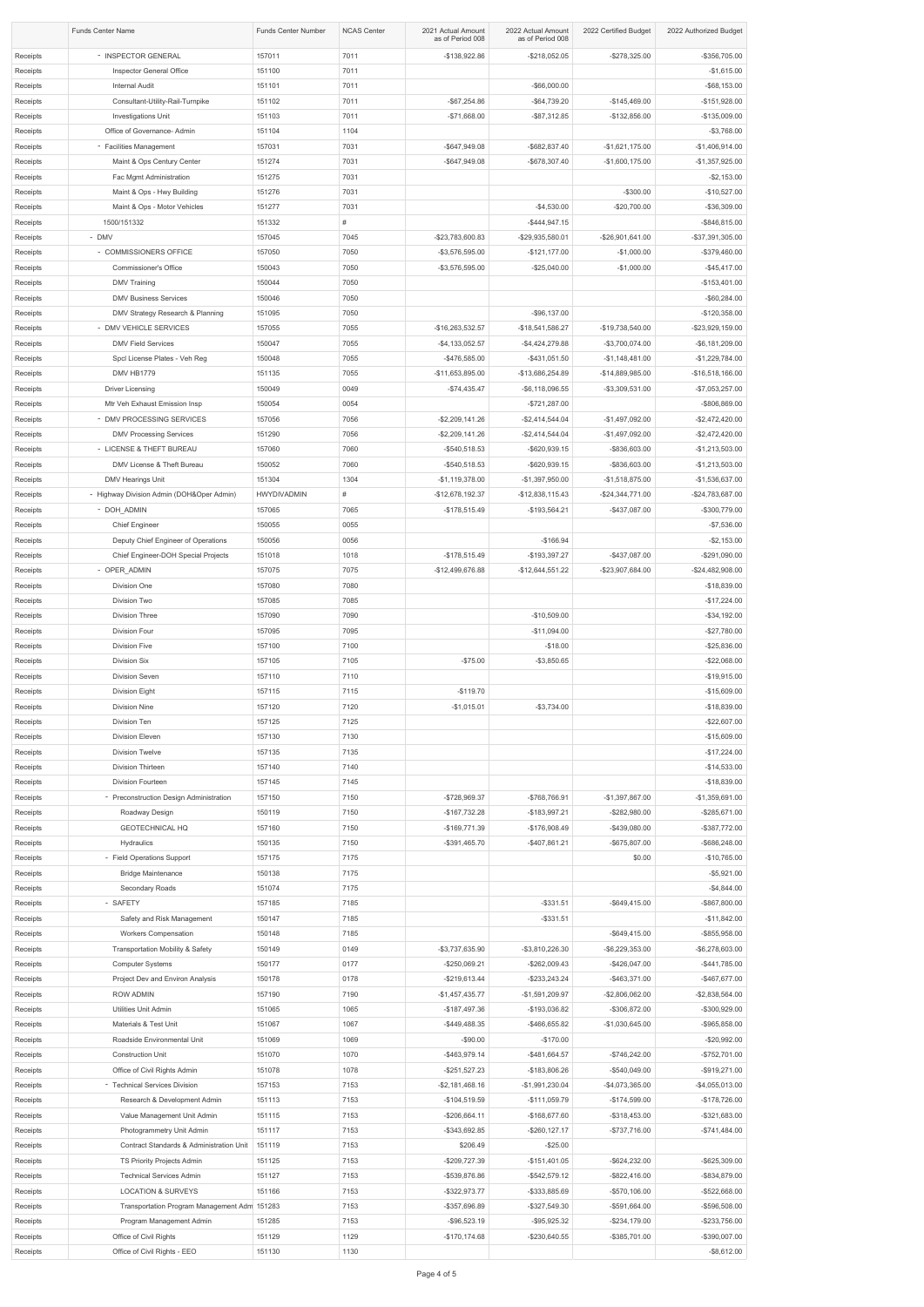|                      | <b>Funds Center Name</b>                                                   | <b>Funds Center Number</b> | <b>NCAS Center</b> | 2021 Actual Amount<br>as of Period 008 | 2022 Actual Amount<br>as of Period 008 | 2022 Certified Budget                | 2022 Authorized Budget                 |
|----------------------|----------------------------------------------------------------------------|----------------------------|--------------------|----------------------------------------|----------------------------------------|--------------------------------------|----------------------------------------|
| Receipts             | - INSPECTOR GENERAL                                                        | 157011                     | 7011               | $-$138,922.86$                         | $-$ \$218,052.05                       | $-$278,325.00$                       | -\$356,705.00                          |
| Receipts             | Inspector General Office                                                   | 151100                     | 7011               |                                        |                                        |                                      | $-$1,615.00$                           |
| Receipts             | <b>Internal Audit</b>                                                      | 151101                     | 7011               |                                        | $-$ \$66,000.00                        |                                      | $-$ \$68,153.00                        |
| Receipts             | Consultant-Utility-Rail-Turnpike                                           | 151102                     | 7011               | $-$ \$67,254.86                        | $-$64,739.20$                          | $-$145,469.00$                       | $-$151,928.00$                         |
| Receipts<br>Receipts | Investigations Unit<br>Office of Governance- Admin                         | 151103<br>151104           | 7011<br>1104       | $-$71,668.00$                          | $-$ \$87,312.85                        | $-$132,856.00$                       | $-$135,009.00$<br>$-$3,768.00$         |
| Receipts             | - Facilities Management                                                    | 157031                     | 7031               | -\$647,949.08                          | -\$682,837.40                          | $-$1,621,175.00$                     | $-$1,406,914.00$                       |
| Receipts             | Maint & Ops Century Center                                                 | 151274                     | 7031               | -\$647,949.08                          | -\$678,307.40                          | $-$1,600,175.00$                     | $-$1,357,925.00$                       |
| Receipts             | Fac Mgmt Administration                                                    | 151275                     | 7031               |                                        |                                        |                                      | $-$ \$2,153.00                         |
| Receipts             | Maint & Ops - Hwy Building                                                 | 151276                     | 7031               |                                        |                                        | $-$ \$300.00                         | $-$10,527.00$                          |
| Receipts             | Maint & Ops - Motor Vehicles                                               | 151277                     | 7031               |                                        | $-$4,530.00$                           | $-$20,700.00$                        | $-$36,309.00$                          |
| Receipts<br>Receipts | 1500/151332<br>- DMV                                                       | 151332<br>157045           | #<br>7045          | -\$23,783,600.83                       | $-$ \$444,947.15<br>-\$29,935,580.01   | -\$26,901,641.00                     | -\$846,815.00<br>-\$37,391,305.00      |
| Receipts             | - COMMISSIONERS OFFICE                                                     | 157050                     | 7050               | -\$3,576,595.00                        | $-$121,177.00$                         | $-$1,000.00$                         | -\$379,460.00                          |
| Receipts             | <b>Commissioner's Office</b>                                               | 150043                     | 7050               | $-$ \$3,576,595.00                     | $-$25,040.00$                          | $-$1,000.00$                         | $-$ \$45,417.00                        |
| Receipts             | <b>DMV Training</b>                                                        | 150044                     | 7050               |                                        |                                        |                                      | $-$153,401.00$                         |
| Receipts             | <b>DMV Business Services</b>                                               | 150046                     | 7050               |                                        |                                        |                                      | $-$ \$60,284.00                        |
| Receipts             | DMV Strategy Research & Planning                                           | 151095                     | 7050               |                                        | $-$96,137.00$                          |                                      | $-$120,358.00$                         |
| Receipts<br>Receipts | - DMV VEHICLE SERVICES<br><b>DMV Field Services</b>                        | 157055<br>150047           | 7055<br>7055       | -\$16,263,532.57<br>$-$4,133,052.57$   | -\$18,541,586.27<br>$-$4,424,279.88$   | -\$19,738,540.00<br>$-$3,700,074.00$ | -\$23,929,159.00<br>$-$ \$6,181,209.00 |
| Receipts             | Spcl License Plates - Veh Reg                                              | 150048                     | 7055               | -\$476,585.00                          | $-$431,051.50$                         | $-$1,148,481.00$                     | $-$1,229,784.00$                       |
| Receipts             | DMV HB1779                                                                 | 151135                     | 7055               | -\$11,653,895.00                       | -\$13,686,254.89                       | -\$14,889,985.00                     | -\$16,518,166.00                       |
| Receipts             | <b>Driver Licensing</b>                                                    | 150049                     | 0049               | $-$74,435.47$                          | $-$ \$6,118,096.55                     | $-$ \$3,309,531.00                   | $-$7,053,257.00$                       |
| Receipts             | Mtr Veh Exhaust Emission Insp                                              | 150054                     | 0054               |                                        | $-$ \$721,287.00                       |                                      | -\$806,869.00                          |
| Receipts             | - DMV PROCESSING SERVICES                                                  | 157056                     | 7056               | $-$ \$2,209,141.26                     | $-$2,414,544.04$                       | $-$1,497,092.00$                     | $-$2,472,420.00$                       |
| Receipts<br>Receipts | <b>DMV Processing Services</b><br>- LICENSE & THEFT BUREAU                 | 151290<br>157060           | 7056<br>7060       | $-$ \$2,209,141.26<br>$-$ \$540,518.53 | $-$2,414,544.04$<br>-\$620,939.15      | $-$1,497,092.00$<br>-\$836,603.00    | $-$2,472,420.00$<br>$-$1,213,503.00$   |
| Receipts             | DMV License & Theft Bureau                                                 | 150052                     | 7060               | $-$ \$540,518.53                       | -\$620,939.15                          | -\$836,603.00                        | $-$1,213,503.00$                       |
| Receipts             | <b>DMV Hearings Unit</b>                                                   | 151304                     | 1304               | $-$1,119,378.00$                       | $-$1,397,950.00$                       | $-$1,518,875.00$                     | $-$1,536,637.00$                       |
| Receipts             | - Highway Division Admin (DOH&Oper Admin)                                  | <b>HWYDIVADMIN</b>         | #                  | -\$12,678,192.37                       | -\$12,838,115.43                       | $-$24,344,771.00$                    | -\$24,783,687.00                       |
| Receipts             | - DOH_ADMIN                                                                | 157065                     | 7065               | $-$178,515.49$                         | $-$193,564.21$                         | -\$437,087.00                        | -\$300,779.00                          |
| Receipts             | <b>Chief Engineer</b>                                                      | 150055                     | 0055               |                                        |                                        |                                      | $-$7,536.00$                           |
| Receipts<br>Receipts | Deputy Chief Engineer of Operations<br>Chief Engineer-DOH Special Projects | 150056<br>151018           | 0056<br>1018       | $-$178,515.49$                         | $-$166.94$<br>$-$193,397.27$           | -\$437,087.00                        | $-$ \$2,153.00<br>-\$291,090.00        |
| Receipts             | - OPER_ADMIN                                                               | 157075                     | 7075               | -\$12,499,676.88                       | $-$12,644,551.22$                      | -\$23,907,684.00                     | -\$24,482,908.00                       |
| Receipts             | Division One                                                               | 157080                     | 7080               |                                        |                                        |                                      | $-$18,839.00$                          |
| Receipts             | Division Two                                                               | 157085                     | 7085               |                                        |                                        |                                      | $-$17,224.00$                          |
| Receipts             | <b>Division Three</b>                                                      | 157090                     | 7090               |                                        | $-$10,509.00$                          |                                      | $-$34,192.00$                          |
| Receipts             | Division Four                                                              | 157095                     | 7095               |                                        | $-$11,094.00$                          |                                      | $-$27,780.00$                          |
| Receipts<br>Receipts | <b>Division Five</b><br>Division Six                                       | 157100<br>157105           | 7100<br>7105       | $-$75.00$                              | $-$18.00$<br>$-$3,850.65$              |                                      | $-$25,836.00$<br>$-$22,068.00$         |
| Receipts             | Division Seven                                                             | 157110                     | 7110               |                                        |                                        |                                      | $-$19,915.00$                          |
| Receipts             | Division Eight                                                             | 157115                     | 7115               | $-$119.70$                             |                                        |                                      | $-$15,609.00$                          |
| Receipts             | <b>Division Nine</b>                                                       | 157120                     | 7120               | $-$1,015.01$                           | $-$3,734.00$                           |                                      | $-$18,839.00$                          |
| Receipts             | Division Ten                                                               | 157125                     | 7125               |                                        |                                        |                                      | $-$22,607.00$                          |
| Receipts             | Division Eleven                                                            | 157130                     | 7130               |                                        |                                        |                                      | $-$15,609.00$                          |
| Receipts<br>Receipts | <b>Division Twelve</b><br>Division Thirteen                                | 157135<br>157140           | 7135<br>7140       |                                        |                                        |                                      | $-$17,224.00$<br>$-$14,533.00$         |
| Receipts             | Division Fourteen                                                          | 157145                     | 7145               |                                        |                                        |                                      | $-$18,839.00$                          |
| Receipts             | - Preconstruction Design Administration                                    | 157150                     | 7150               | $-$728,969.37$                         | -\$768,766.91                          | $-$1,397,867.00$                     | $-$1,359,691.00$                       |
| Receipts             | Roadway Design                                                             | 150119                     | 7150               | $-$167,732.28$                         | $-$183,997.21$                         | $-$ \$282,980.00                     | -\$285,671.00                          |
| Receipts             | <b>GEOTECHNICAL HQ</b>                                                     | 157160                     | 7150               | -\$169,771.39                          | -\$176,908.49                          | $-$ \$439,080.00                     | -\$387,772.00                          |
| Receipts             | Hydraulics                                                                 | 150135                     | 7150               | $-$ \$391,465.70                       | $-$407,861.21$                         | -\$675,807.00                        | -\$686,248.00                          |
| Receipts<br>Receipts | - Field Operations Support<br><b>Bridge Maintenance</b>                    | 157175<br>150138           | 7175<br>7175       |                                        |                                        | \$0.00                               | $-$10,765.00$<br>$-$5,921.00$          |
| Receipts             | Secondary Roads                                                            | 151074                     | 7175               |                                        |                                        |                                      | $-$4,844.00$                           |
| Receipts             | - SAFETY                                                                   | 157185                     | 7185               |                                        | $-$ \$331.51                           | $-$ \$649,415.00                     | -\$867,800.00                          |
| Receipts             | Safety and Risk Management                                                 | 150147                     | 7185               |                                        | $-$ \$331.51                           |                                      | $-$11,842.00$                          |
| Receipts             | <b>Workers Compensation</b>                                                | 150148                     | 7185               |                                        |                                        | $-$ \$649,415.00                     | -\$855,958.00                          |
| Receipts             | <b>Transportation Mobility &amp; Safety</b>                                | 150149                     | 0149               | $-$3,737,635.90$                       | -\$3,810,226.30                        | $-$ \$6,229,353.00                   | -\$6,278,603.00                        |
| Receipts<br>Receipts | <b>Computer Systems</b><br>Project Dev and Environ Analysis                | 150177<br>150178           | 0177<br>0178       | $-$ \$250,069.21<br>$-$ \$219,613.44   | $-$262,009.43$<br>$-$ \$233,243.24     | $-$ \$426,047.00<br>$-$ \$463,371.00 | $-$441,785.00$<br>-\$467,677.00        |
| Receipts             | ROW ADMIN                                                                  | 157190                     | 7190               | $-$1,457,435.77$                       | $-$1,591,209.97$                       | $-$2,806,062.00$                     | $-$2,838,564.00$                       |
| Receipts             | Utilities Unit Admin                                                       | 151065                     | 1065               | $-$187,497.36$                         | -\$193,036.82                          | -\$306,872.00                        | -\$300,929.00                          |
| Receipts             | Materials & Test Unit                                                      | 151067                     | 1067               | $-$ \$449,488.35                       | $-$ \$466,655.82                       | $-$1,030,645.00$                     | -\$965,858.00                          |
| Receipts             | Roadside Environmental Unit                                                | 151069                     | 1069               | $-$90.00$                              | $-$170.00$                             |                                      | $-$20,992.00$                          |
| Receipts<br>Receipts | <b>Construction Unit</b><br>Office of Civil Rights Admin                   | 151070<br>151078           | 1070<br>1078       | -\$463,979.14<br>$-$ \$251,527.23      | $-$ \$481,664.57<br>-\$183,806.26      | $-$746,242.00$<br>-\$540,049.00      | $-$752,701.00$<br>-\$919,271.00        |
| Receipts             | - Technical Services Division                                              | 157153                     | 7153               | $-$ \$2,181,468.16                     | $-$1,991,230.04$                       | $-$4,073,365.00$                     | $-$4,055,013.00$                       |
| Receipts             | Research & Development Admin                                               | 151113                     | 7153               | $-$104,519.59$                         | -\$111,059.79                          | $-$174,599.00$                       | -\$178,726.00                          |
| Receipts             | Value Management Unit Admin                                                | 151115                     | 7153               | $-$ \$206,664.11                       | $-$168,677.60$                         | $-$ \$318,453.00                     | -\$321,683.00                          |
| Receipts             | Photogrammetry Unit Admin                                                  | 151117                     | 7153               | $-$ \$343,692.85                       | $-$ \$260,127.17                       | $-$ \$737,716.00                     | $-$741,484.00$                         |
| Receipts             | Contract Standards & Administration Unit                                   | 151119                     | 7153               | \$206.49                               | $-$ \$25.00                            |                                      |                                        |
| Receipts<br>Receipts | TS Priority Projects Admin<br><b>Technical Services Admin</b>              | 151125<br>151127           | 7153<br>7153       | -\$209,727.39<br>-\$539,876.86         | $-$151,401.05$<br>$-$ \$542,579.12     | $-$ \$624,232.00<br>$-$ \$822,416.00 | -\$625,309.00<br>-\$834,879.00         |
| Receipts             | <b>LOCATION &amp; SURVEYS</b>                                              | 151166                     | 7153               | $-$ \$322,973.77                       | -\$333,885.69                          | $-$ \$570,106.00                     | -\$522,668.00                          |
| Receipts             | Transportation Program Management Adm 151283                               |                            | 7153               | -\$357,696.89                          | $-$ \$327,549.30                       | $-$ \$591,664.00                     | -\$596,508.00                          |
| Receipts             | Program Management Admin                                                   | 151285                     | 7153               | $-$ \$96,523.19                        | $-$ \$95,925.32                        | $-$ \$234,179.00                     | -\$233,756.00                          |
| Receipts             | Office of Civil Rights                                                     | 151129                     | 1129               | $-$170,174.68$                         | $-$ \$230,640.55                       | -\$385,701.00                        | -\$390,007.00                          |
| Receipts             | Office of Civil Rights - EEO                                               | 151130                     | 1130               |                                        |                                        |                                      | $-$ \$8,612.00                         |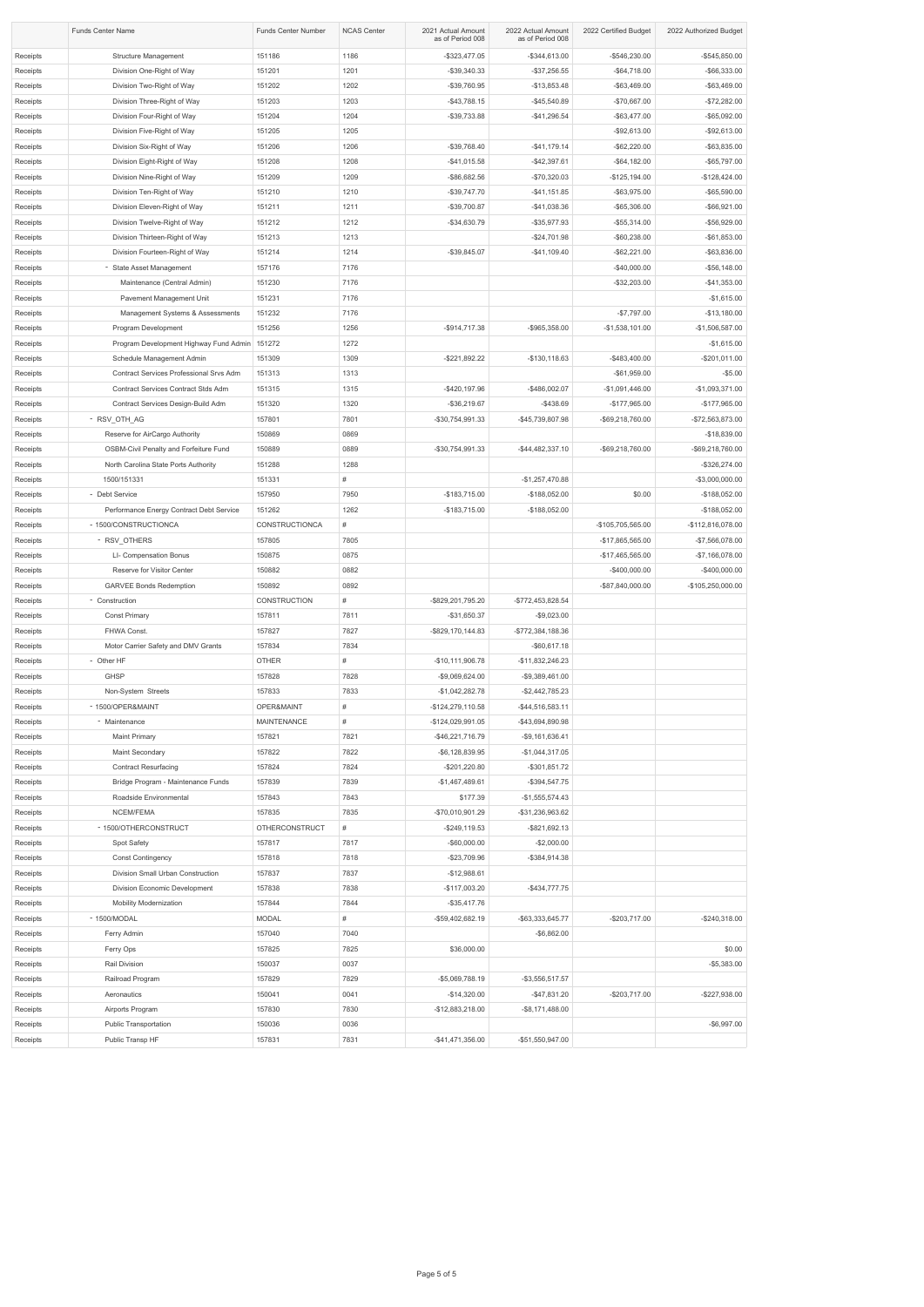|          | <b>Funds Center Name</b>                 | <b>Funds Center Number</b> | <b>NCAS Center</b> | 2021 Actual Amount<br>as of Period 008 | 2022 Actual Amount<br>as of Period 008 | 2022 Certified Budget | 2022 Authorized Budget |
|----------|------------------------------------------|----------------------------|--------------------|----------------------------------------|----------------------------------------|-----------------------|------------------------|
| Receipts | <b>Structure Management</b>              | 151186                     | 1186               | $-$ \$323,477.05                       | $-$ \$344,613.00                       | -\$546,230.00         | $-$545,850.00$         |
| Receipts | Division One-Right of Way                | 151201                     | 1201               | $-$ \$39,340.33                        | $-$ \$37,256.55                        | $-$64,718.00$         | $-$ \$66,333.00        |
| Receipts | Division Two-Right of Way                | 151202                     | 1202               | -\$39,760.95                           | $-$13,853.48$                          | $-$ \$63,469.00       | $-$ \$63,469.00        |
| Receipts | Division Three-Right of Way              | 151203                     | 1203               | $-$43,788.15$                          | $-$ \$45,540.89                        | $-$70,667.00$         | $-$72,282.00$          |
| Receipts | Division Four-Right of Way               | 151204                     | 1204               | $-$39,733.88$                          | $-$ \$41,296.54                        | $-$ \$63,477.00       | $-$ \$65,092.00        |
| Receipts | Division Five-Right of Way               | 151205                     | 1205               |                                        |                                        | $-$92,613.00$         | $-$92,613.00$          |
| Receipts | Division Six-Right of Way                | 151206                     | 1206               | $-$39,768.40$                          | $-$ \$41,179.14                        | $-$ \$62,220.00       | $-$ \$63,835.00        |
|          |                                          |                            |                    |                                        |                                        |                       |                        |
| Receipts | Division Eight-Right of Way              | 151208                     | 1208               | $-$41,015.58$                          | $-$42,397.61$                          | $-$ \$64,182.00       | $-$65,797.00$          |
| Receipts | Division Nine-Right of Way               | 151209                     | 1209               | $-$ \$86,682.56                        | $-$70,320.03$                          | $-$125,194.00$        | $-$128,424.00$         |
| Receipts | Division Ten-Right of Way                | 151210                     | 1210               | $-$ \$39,747.70                        | $-$ \$41,151.85                        | $-$ \$63,975.00       | $-$ \$65,590.00        |
| Receipts | Division Eleven-Right of Way             | 151211                     | 1211               | $-$39,700.87$                          | $-$41,038.36$                          | $-$ \$65,306.00       | $-$ \$66,921.00        |
| Receipts | Division Twelve-Right of Way             | 151212                     | 1212               | $-$34,630.79$                          | $-$ \$35,977.93                        | $-$ \$55,314.00       | $-$56,929.00$          |
| Receipts | Division Thirteen-Right of Way           | 151213                     | 1213               |                                        | $-$ \$24,701.98                        | $-$ \$60,238.00       | $-$61,853.00$          |
| Receipts | Division Fourteen-Right of Way           | 151214                     | 1214               | $-$ \$39,845.07                        | $-$ \$41,109.40                        | $-$ \$62,221.00       | $-$63,836.00$          |
| Receipts | - State Asset Management                 | 157176                     | 7176               |                                        |                                        | $-$40,000.00$         | $-$56,148.00$          |
| Receipts | Maintenance (Central Admin)              | 151230                     | 7176               |                                        |                                        | $-$ \$32,203.00       | $-$41,353.00$          |
| Receipts | Pavement Management Unit                 | 151231                     | 7176               |                                        |                                        |                       | $-$1,615.00$           |
| Receipts | Management Systems & Assessments         | 151232                     | 7176               |                                        |                                        | $-$7,797.00$          | $-$13,180.00$          |
| Receipts | Program Development                      | 151256                     | 1256               | $-$ \$914,717.38                       | $-$ \$965,358.00                       | $-$1,538,101.00$      | $-$1,506,587.00$       |
| Receipts | Program Development Highway Fund Admin   | 151272                     | 1272               |                                        |                                        |                       | $-$1,615.00$           |
| Receipts | Schedule Management Admin                | 151309                     | 1309               | $-$ \$221,892.22                       | $-$130,118.63$                         | $-$483,400.00$        | $-$201,011.00$         |
|          | Contract Services Professional Srvs Adm  | 151313                     |                    |                                        |                                        | $-$ \$61,959.00       | $-$ \$5.00             |
| Receipts |                                          |                            | 1313               |                                        |                                        |                       |                        |
| Receipts | Contract Services Contract Stds Adm      | 151315                     | 1315               | $-$ \$420,197.96                       | -\$486,002.07                          | $-$1,091,446.00$      | $-$1,093,371.00$       |
| Receipts | Contract Services Design-Build Adm       | 151320                     | 1320               | $-$ \$36,219.67                        | $-$ \$438.69                           | $-$177,965.00$        | $-$177,965.00$         |
| Receipts | - RSV_OTH_AG                             | 157801                     | 7801               | -\$30,754,991.33                       | -\$45,739,807.98                       | -\$69,218,760.00      | -\$72,563,873.00       |
| Receipts | Reserve for AirCargo Authority           | 150869                     | 0869               |                                        |                                        |                       | $-$18,839.00$          |
| Receipts | OSBM-Civil Penalty and Forfeiture Fund   | 150889                     | 0889               | -\$30,754,991.33                       | -\$44,482,337.10                       | -\$69,218,760.00      | -\$69,218,760.00       |
| Receipts | North Carolina State Ports Authority     | 151288                     | 1288               |                                        |                                        |                       | -\$326,274.00          |
| Receipts | 1500/151331                              | 151331                     | #                  |                                        | $-$1,257,470.88$                       |                       | -\$3,000,000.00        |
| Receipts | - Debt Service                           | 157950                     | 7950               | $-$183,715.00$                         | $-$188,052.00$                         | \$0.00                | $-$188,052.00$         |
| Receipts | Performance Energy Contract Debt Service | 151262                     | 1262               | $-$183,715.00$                         | $-$188,052.00$                         |                       | $-$188,052.00$         |
| Receipts | - 1500/CONSTRUCTIONCA                    | CONSTRUCTIONCA             | #                  |                                        |                                        | -\$105,705,565.00     | -\$112,816,078.00      |
| Receipts | - RSV_OTHERS                             | 157805                     | 7805               |                                        |                                        | -\$17,865,565.00      | -\$7,566,078.00        |
| Receipts | LI- Compensation Bonus                   | 150875                     | 0875               |                                        |                                        | -\$17,465,565.00      | $-$7,166,078.00$       |
| Receipts | Reserve for Visitor Center               | 150882                     | 0882               |                                        |                                        | $-$ \$400,000.00      | $-$400,000.00$         |
| Receipts | <b>GARVEE Bonds Redemption</b>           | 150892                     | 0892               |                                        |                                        | -\$87,840,000.00      | -\$105,250,000.00      |
| Receipts | - Construction                           | <b>CONSTRUCTION</b>        | #                  | -\$829,201,795.20                      | -\$772,453,828.54                      |                       |                        |
|          |                                          |                            |                    |                                        |                                        |                       |                        |
| Receipts | <b>Const Primary</b>                     | 157811                     | 7811               | $-$ \$31,650.37                        | $-$9,023.00$                           |                       |                        |
| Receipts | FHWA Const.                              | 157827                     | 7827               | -\$829,170,144.83                      | -\$772,384,188.36                      |                       |                        |
| Receipts | Motor Carrier Safety and DMV Grants      | 157834                     | 7834               |                                        | $-$ \$60,617.18                        |                       |                        |
| Receipts | - Other HF                               | <b>OTHER</b>               | #                  | -\$10,111,906.78                       | -\$11,832,246.23                       |                       |                        |
| Receipts | <b>GHSP</b>                              | 157828                     | 7828               | -\$9,069,624.00                        | $-$9,389,461.00$                       |                       |                        |
| Receipts | Non-System Streets                       | 157833                     | 7833               | $-$1,042,282.78$                       | $-$2,442,785.23$                       |                       |                        |
| Receipts | - 1500/OPER&MAINT                        | OPER&MAINT                 | #                  | $-$124,279,110.58$                     | $-$ \$44,516,583.11                    |                       |                        |
| Receipts | - Maintenance                            | <b>MAINTENANCE</b>         | #                  | -\$124,029,991.05                      | -\$43,694,890.98                       |                       |                        |
| Receipts | <b>Maint Primary</b>                     | 157821                     | 7821               | $-$ \$46,221,716.79                    | $-$9,161,636.41$                       |                       |                        |
| Receipts | Maint Secondary                          | 157822                     | 7822               | $-$ \$6,128,839.95                     | $-$1,044,317.05$                       |                       |                        |
| Receipts | <b>Contract Resurfacing</b>              | 157824                     | 7824               | $-$201,220.80$                         | $-$ \$301,851.72                       |                       |                        |
| Receipts | Bridge Program - Maintenance Funds       | 157839                     | 7839               | $-$1,467,489.61$                       | $-$ \$394,547.75                       |                       |                        |
| Receipts | Roadside Environmental                   | 157843                     | 7843               | \$177.39                               | $-$1,555,574.43$                       |                       |                        |
| Receipts | NCEM/FEMA                                | 157835                     | 7835               | -\$70,010,901.29                       | -\$31,236,963.62                       |                       |                        |
|          | - 1500/OTHERCONSTRUCT                    | <b>OTHERCONSTRUCT</b>      | #                  | $-$ \$249,119.53                       | $-$ \$821,692.13                       |                       |                        |
| Receipts |                                          |                            |                    |                                        |                                        |                       |                        |
| Receipts | Spot Safety                              | 157817                     | 7817               | $-$ \$60,000.00                        | $-$2,000.00$                           |                       |                        |
| Receipts | <b>Const Contingency</b>                 | 157818                     | 7818               | $-$ \$23,709.96                        | $-$ \$384,914.38                       |                       |                        |
| Receipts | Division Small Urban Construction        | 157837                     | 7837               | $-$12,988.61$                          |                                        |                       |                        |
| Receipts | Division Economic Development            | 157838                     | 7838               | $-$117,003.20$                         | $-$ \$434,777.75                       |                       |                        |
| Receipts | <b>Mobility Modernization</b>            | 157844                     | 7844               | $-$ \$35,417.76                        |                                        |                       |                        |
| Receipts | - 1500/MODAL                             | <b>MODAL</b>               | #                  | -\$59,402,682.19                       | -\$63,333,645.77                       | $-$203,717.00$        | $-$240,318.00$         |
| Receipts | Ferry Admin                              | 157040                     | 7040               |                                        | $-$ \$6,862.00                         |                       |                        |
| Receipts | Ferry Ops                                | 157825                     | 7825               | \$36,000.00                            |                                        |                       | \$0.00                 |
| Receipts | Rail Division                            | 150037                     | 0037               |                                        |                                        |                       | $-$5,383.00$           |
| Receipts | Railroad Program                         | 157829                     | 7829               | -\$5,069,788.19                        | $-$ \$3,556,517.57                     |                       |                        |
| Receipts | Aeronautics                              | 150041                     | 0041               | $-$14,320.00$                          | $-$ \$47,831.20                        | $-$203,717.00$        | $-$227,938.00$         |
| Receipts | Airports Program                         | 157830                     | 7830               | -\$12,883,218.00                       | $-$ \$8,171,488.00                     |                       |                        |
| Receipts | <b>Public Transportation</b>             | 150036                     | 0036               |                                        |                                        |                       | $-$ \$6,997.00         |
| Receipts | Public Transp HF                         | 157831                     | 7831               | $-$ \$41,471,356.00                    | -\$51,550,947.00                       |                       |                        |
|          |                                          |                            |                    |                                        |                                        |                       |                        |